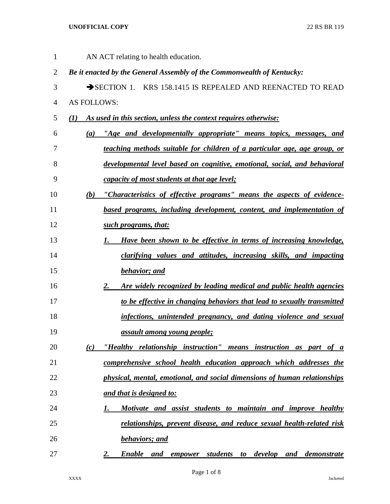## **UNOFFICIAL COPY** 22 RS BR 119

| $\mathbf{1}$   |             | AN ACT relating to health education.                                             |
|----------------|-------------|----------------------------------------------------------------------------------|
| $\overline{2}$ |             | Be it enacted by the General Assembly of the Commonwealth of Kentucky:           |
| 3              |             | SECTION 1. KRS 158.1415 IS REPEALED AND REENACTED TO READ                        |
| 4              | AS FOLLOWS: |                                                                                  |
| 5              | $\bf(1)$    | As used in this section, unless the context requires otherwise:                  |
| 6              | (a)         | "Age and developmentally appropriate" means topics, messages, and                |
| 7              |             | teaching methods suitable for children of a particular age, age group, or        |
| 8              |             | developmental level based on cognitive, emotional, social, and behavioral        |
| 9              |             | <i>capacity of most students at that age level;</i>                              |
| 10             | (b)         | "Characteristics of effective programs" means the aspects of evidence-           |
| 11             |             | based programs, including development, content, and implementation of            |
| 12             |             | such programs, that:                                                             |
| 13             |             | Have been shown to be effective in terms of increasing knowledge,<br>1.          |
| 14             |             | <i>clarifying values and attitudes, increasing skills, and impacting</i>         |
| 15             |             | <b>behavior</b> ; and                                                            |
| 16             |             | Are widely recognized by leading medical and public health agencies<br>2.        |
| 17             |             | to be effective in changing behaviors that lead to sexually transmitted          |
| 18             |             | infections, unintended pregnancy, and dating violence and sexual                 |
| 19             |             | <i><u>assault among young people;</u></i>                                        |
| 20             | (c)         | "Healthy relationship instruction" means instruction as part of a                |
| 21             |             | comprehensive school health education approach which addresses the               |
| 22             |             | physical, mental, emotional, and social dimensions of human relationships        |
| 23             |             | and that is designed to:                                                         |
| 24             |             | Motivate and assist students to maintain and improve healthy<br>1.               |
| 25             |             | relationships, prevent disease, and reduce sexual health-related risk            |
| 26             |             | <b>behaviors; and</b>                                                            |
| 27             |             | empower students to develop and demonstrate<br><b>Enable</b><br>and<br><u>2.</u> |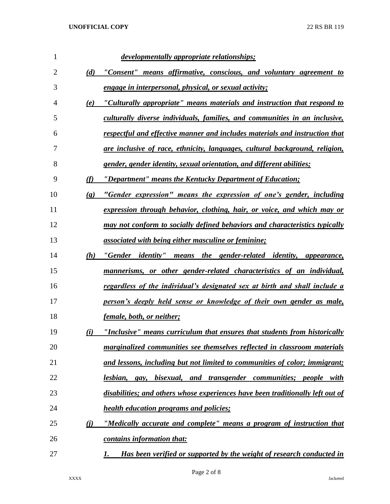| 1              |                             | developmentally appropriate relationships;                                        |
|----------------|-----------------------------|-----------------------------------------------------------------------------------|
| 2              | (d)                         | "Consent" means affirmative, conscious, and voluntary agreement to                |
| 3              |                             | <i>engage in interpersonal, physical, or sexual activity;</i>                     |
| $\overline{4}$ | (e)                         | "Culturally appropriate" means materials and instruction that respond to          |
| 5              |                             | culturally diverse individuals, families, and communities in an inclusive,        |
| 6              |                             | respectful and effective manner and includes materials and instruction that       |
| 7              |                             | are inclusive of race, ethnicity, languages, cultural background, religion,       |
| 8              |                             | gender, gender identity, sexual orientation, and different abilities;             |
| 9              | (f)                         | "Department" means the Kentucky Department of Education;                          |
| 10             | $\left( \mathbf{g} \right)$ | "Gender expression" means the expression of one's gender, including               |
| 11             |                             | expression through behavior, clothing, hair, or voice, and which may or           |
| 12             |                             | may not conform to socially defined behaviors and characteristics typically       |
| 13             |                             | <u>associated with being either masculine or feminine;</u>                        |
| 14             | (h)                         | "Gender identity"<br>means the gender-related identity, appearance,               |
| 15             |                             | mannerisms, or other gender-related characteristics of an individual,             |
| 16             |                             | <u>regardless of the individual's designated sex at birth and shall include a</u> |
| 17             |                             | person's deeply held sense or knowledge of their own gender as male,              |
| 18             |                             | female, both, or neither;                                                         |
| 19             | (i)                         | "Inclusive" means curriculum that ensures that students from historically         |
| 20             |                             | marginalized communities see themselves reflected in classroom materials          |
| 21             |                             | and lessons, including but not limited to communities of color; immigrant;        |
| 22             |                             | lesbian, gay, bisexual, and transgender communities; people with                  |
| 23             |                             | disabilities; and others whose experiences have been traditionally left out of    |
| 24             |                             | <b>health education programs and policies;</b>                                    |
| 25             | <u>(i)</u>                  | "Medically accurate and complete" means a program of instruction that             |
| 26             |                             | contains information that:                                                        |
| 27             |                             | Has been verified or supported by the weight of research conducted in<br>1.       |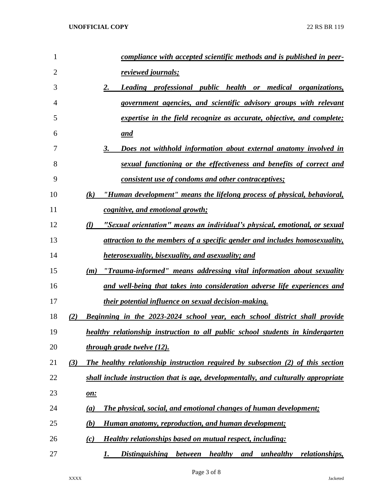| 1              |     | compliance with accepted scientific methods and is published in peer-                |
|----------------|-----|--------------------------------------------------------------------------------------|
| $\overline{2}$ |     | <u>reviewed journals;</u>                                                            |
| 3              |     | 2.<br>Leading professional public health or medical organizations,                   |
| $\overline{4}$ |     | government agencies, and scientific advisory groups with relevant                    |
| 5              |     | expertise in the field recognize as accurate, objective, and complete;               |
| 6              |     | and                                                                                  |
| 7              |     | 3.<br>Does not withhold information about external anatomy involved in               |
| 8              |     | sexual functioning or the effectiveness and benefits of correct and                  |
| 9              |     | consistent use of condoms and other contraceptives;                                  |
| 10             |     | "Human development" means the lifelong process of physical, behavioral,<br>(k)       |
| 11             |     | cognitive, and emotional growth;                                                     |
| 12             |     | (l)<br>"Sexual orientation" means an individual's physical, emotional, or sexual     |
| 13             |     | attraction to the members of a specific gender and includes homosexuality,           |
| 14             |     | <b>heterosexuality, bisexuality, and asexuality; and</b>                             |
| 15             |     | "Trauma-informed" means addressing vital information about sexuality<br>(m)          |
| 16             |     | and well-being that takes into consideration adverse life experiences and            |
| 17             |     | <u>their potential influence on sexual decision-making.</u>                          |
| 18             | (2) | Beginning in the 2023-2024 school year, each school district shall provide           |
| 19             |     | healthy relationship instruction to all public school students in kindergarten       |
| 20             |     | through grade twelve (12).                                                           |
| 21             | (3) | The healthy relationship instruction required by subsection (2) of this section      |
| 22             |     | shall include instruction that is age, developmentally, and culturally appropriate   |
| 23             |     | <u>on:</u>                                                                           |
| 24             |     | The physical, social, and emotional changes of human development;<br>(a)             |
| 25             |     | Human anatomy, reproduction, and human development;<br>(b)                           |
| 26             |     | <b>Healthy relationships based on mutual respect, including:</b><br>(c)              |
| 27             |     | healthy<br>Distinguishing between<br>unhealthy<br><i>relationships,</i><br>1.<br>and |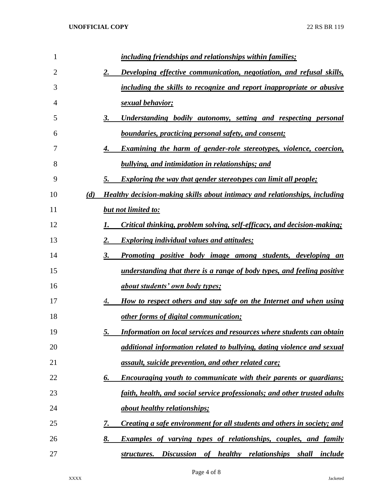| $\mathbf{1}$   | including friendships and relationships within families;                                 |
|----------------|------------------------------------------------------------------------------------------|
| $\overline{2}$ | Developing effective communication, negotiation, and refusal skills,<br>2.               |
| 3              | including the skills to recognize and report inappropriate or abusive                    |
| 4              | <u>sexual behavior;</u>                                                                  |
| 5              | 3.<br><u>Understanding bodily autonomy, setting and respecting personal</u>              |
| 6              | <b>boundaries, practicing personal safety, and consent;</b>                              |
| 7              | <b>Examining the harm of gender-role stereotypes, violence, coercion,</b><br>4.          |
| 8              | <b>bullying, and intimidation in relationships; and</b>                                  |
| 9              | 5.<br>Exploring the way that gender stereotypes can limit all people;                    |
| 10             | (d)<br>Healthy decision-making skills about intimacy and relationships, including        |
| 11             | <b>but not limited to:</b>                                                               |
| 12             | Critical thinking, problem solving, self-efficacy, and decision-making;<br>1.            |
| 13             | $\overline{2}$ .<br><b>Exploring individual values and attitudes;</b>                    |
| 14             | $\overline{\mathbf{3}}$ .<br>Promoting positive body image among students, developing an |
| 15             | <u>understanding that there is a range of body types, and feeling positive</u>           |
| 16             | <u>about students' own body types;</u>                                                   |
| 17             | How to respect others and stay safe on the Internet and when using<br>4.                 |
| 18             | <u>other forms of digital communication;</u>                                             |
| 19             | 5.<br>Information on local services and resources where students can obtain              |
| 20             | additional information related to bullying, dating violence and sexual                   |
| 21             | assault, suicide prevention, and other related care;                                     |
| 22             | Encouraging youth to communicate with their parents or guardians;<br>6.                  |
| 23             | faith, health, and social service professionals; and other trusted adults                |
| 24             | <i>about healthy relationships;</i>                                                      |
| 25             | Creating a safe environment for all students and others in society; and<br>7.            |
| 26             | 8.<br><b>Examples of varying types of relationships, couples, and family</b>             |
| 27             | structures. Discussion of healthy relationships shall include                            |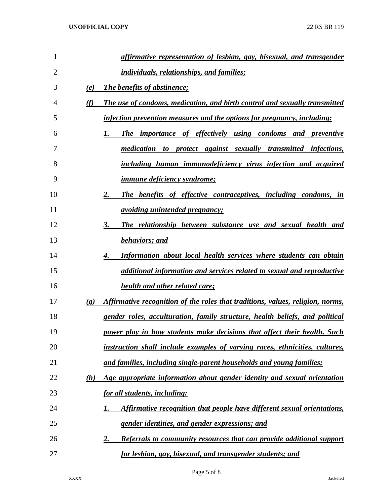| 1              | affirmative representation of lesbian, gay, bisexual, and transgender                                      |
|----------------|------------------------------------------------------------------------------------------------------------|
| $\overline{2}$ | individuals, relationships, and families;                                                                  |
| 3              | (e)<br><b>The benefits of abstinence;</b>                                                                  |
| 4              | (f)<br>The use of condoms, medication, and birth control and sexually transmitted                          |
| 5              | infection prevention measures and the options for pregnancy, including:                                    |
| 6              | The importance of effectively using condoms and preventive<br>1.                                           |
| 7              | medication to protect against sexually transmitted infections,                                             |
| 8              | including human immunodeficiency virus infection and acquired                                              |
| 9              | <u>immune deficiency syndrome;</u>                                                                         |
| 10             | 2.<br>The benefits of effective contraceptives, including condoms, in                                      |
| 11             | <u>avoiding unintended pregnancy;</u>                                                                      |
| 12             | 3.<br>The relationship between substance use and sexual health and                                         |
| 13             | <b>behaviors</b> ; and                                                                                     |
| 14             | <b>Information about local health services where students can obtain</b><br>4.                             |
| 15             | additional information and services related to sexual and reproductive                                     |
| 16             | health and other related care;                                                                             |
| 17             | Affirmative recognition of the roles that traditions, values, religion, norms,<br>$\left( \varrho \right)$ |
| 18             | gender roles, acculturation, family structure, health beliefs, and political                               |
| 19             | power play in how students make decisions that affect their health. Such                                   |
| 20             | instruction shall include examples of varying races, ethnicities, cultures,                                |
| 21             | and families, including single-parent households and young families;                                       |
| 22             | Age appropriate information about gender identity and sexual orientation<br>(h)                            |
| 23             | <u>for all students, including:</u>                                                                        |
| 24             | Affirmative recognition that people have different sexual orientations,<br>1.                              |
| 25             | <u>gender identities, and gender expressions; and</u>                                                      |
| 26             | Referrals to community resources that can provide additional support<br><u>2.</u>                          |
| 27             | <u>for lesbian, gay, bisexual, and transgender students; and</u>                                           |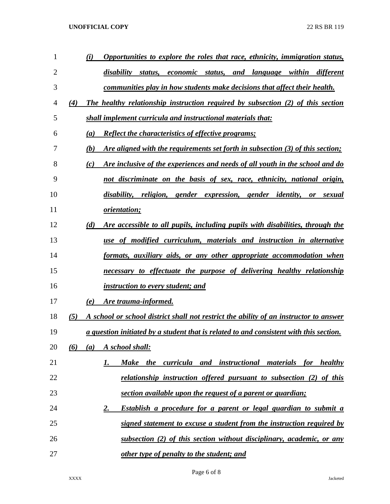## **UNOFFICIAL COPY** 22 RS BR 119

| $\mathbf{1}$ | Opportunities to explore the roles that race, ethnicity, immigration status,<br>(i)          |
|--------------|----------------------------------------------------------------------------------------------|
| 2            | disability<br>and language within different<br>status,<br>economic status,                   |
| 3            | communities play in how students make decisions that affect their health.                    |
| 4            | The healthy relationship instruction required by subsection (2) of this section<br>(4)       |
| 5            | shall implement curricula and instructional materials that:                                  |
| 6            | <b>Reflect the characteristics of effective programs;</b><br>(a)                             |
| 7            | Are aligned with the requirements set forth in subsection (3) of this section;<br>(b)        |
| 8            | Are inclusive of the experiences and needs of all youth in the school and do<br>(c)          |
| 9            | not discriminate on the basis of sex, race, ethnicity, national origin,                      |
| 10           | disability, religion, gender expression, gender identity,<br>or<br>sexual                    |
| 11           | <i>orientation;</i>                                                                          |
| 12           | (d)<br>Are accessible to all pupils, including pupils with disabilities, through the         |
| 13           | use of modified curriculum, materials and instruction in alternative                         |
| 14           | formats, auxiliary aids, or any other appropriate accommodation when                         |
| 15           | necessary to effectuate the purpose of delivering healthy relationship                       |
| 16           | <i>instruction to every student; and</i>                                                     |
| 17           | <u>Are trauma-informed.</u><br>(e)                                                           |
| 18           | (5)<br>A school or school district shall not restrict the ability of an instructor to answer |
| 19           | a question initiated by a student that is related to and consistent with this section.       |
| 20           | A school shall:<br>(6)<br>(a)                                                                |
| 21           | Make the curricula and instructional materials for healthy<br>1.                             |
| 22           | relationship instruction offered pursuant to subsection (2) of this                          |
| 23           | section available upon the request of a parent or guardian;                                  |
| 24           | <u>Establish a procedure for a parent or legal guardian to submit a</u><br>2.                |
| 25           | <u>signed statement to excuse a student from the instruction required by</u>                 |
| 26           | <u>subsection (2) of this section without disciplinary, academic, or any</u>                 |
| 27           | other type of penalty to the student; and                                                    |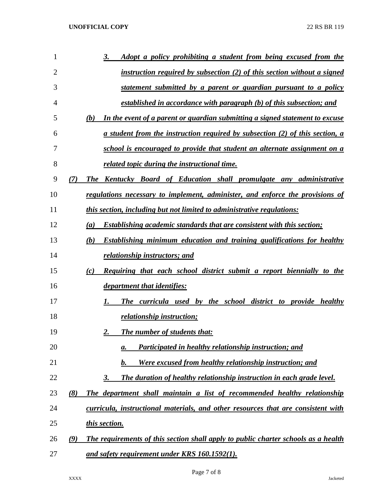| 1  | Adopt a policy prohibiting a student from being excused from the<br>3.                            |
|----|---------------------------------------------------------------------------------------------------|
| 2  | instruction required by subsection (2) of this section without a signed                           |
| 3  | <u>statement submitted by a parent or guardian pursuant to a policy</u>                           |
| 4  | <u>established in accordance with paragraph (b) of this subsection; and</u>                       |
| 5  | In the event of a parent or guardian submitting a signed statement to excuse<br>(b)               |
| 6  | <u>a student from the instruction required by subsection (2) of this section, a</u>               |
| 7  | school is encouraged to provide that student an alternate assignment on a                         |
| 8  | related topic during the instructional time.                                                      |
| 9  | The Kentucky Board of Education shall promulgate any administrative<br>(7)                        |
| 10 | regulations necessary to implement, administer, and enforce the provisions of                     |
| 11 | this section, including but not limited to administrative regulations:                            |
| 12 | <b>Establishing academic standards that are consistent with this section;</b><br>$\left(a\right)$ |
| 13 | Establishing minimum education and training qualifications for healthy<br>(b)                     |
| 14 | relationship instructors; and                                                                     |
| 15 | <b>Requiring that each school district submit a report biennially to the</b><br>(c)               |
| 16 | <i>department that identifies:</i>                                                                |
| 17 | The curricula used by the school district to provide healthy<br>1.                                |
| 18 | <i>relationship instruction;</i>                                                                  |
| 19 | <b>The number of students that:</b>                                                               |
| 20 | Participated in healthy relationship instruction; and<br>a.                                       |
| 21 | Were excused from healthy relationship instruction; and<br>$\bm{b}$ .                             |
| 22 | The duration of healthy relationship instruction in each grade level.<br><u>3.</u>                |
| 23 | The department shall maintain a list of recommended healthy relationship<br>(8)                   |
| 24 | curricula, instructional materials, and other resources that are consistent with                  |
| 25 | this section.                                                                                     |
| 26 | The requirements of this section shall apply to public charter schools as a health<br>(9)         |
| 27 | and safety requirement under KRS 160.1592(1).                                                     |